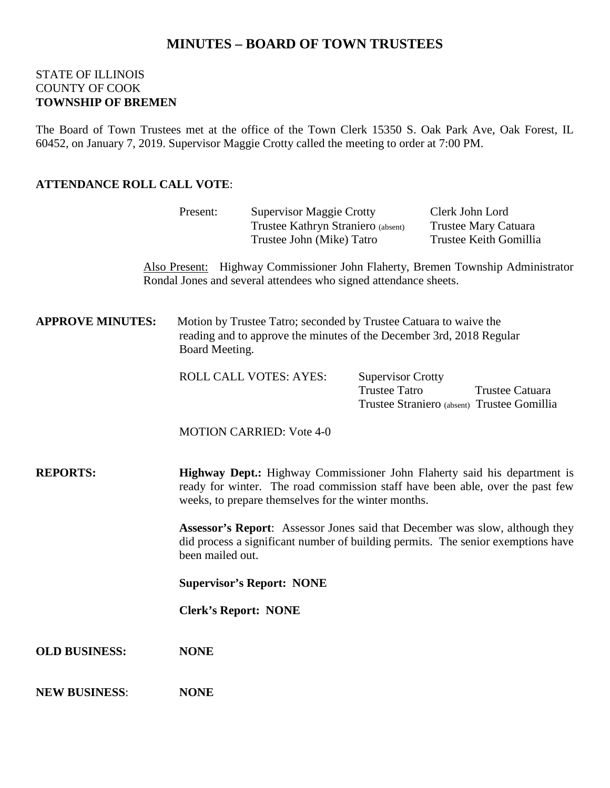# **MINUTES – BOARD OF TOWN TRUSTEES**

#### STATE OF ILLINOIS COUNTY OF COOK **TOWNSHIP OF BREMEN**

The Board of Town Trustees met at the office of the Town Clerk 15350 S. Oak Park Ave, Oak Forest, IL 60452, on January 7, 2019. Supervisor Maggie Crotty called the meeting to order at 7:00 PM.

### **ATTENDANCE ROLL CALL VOTE**:

|                         | Present:                                                                                                                                                                                                         | <b>Supervisor Maggie Crotty</b><br>Trustee Kathryn Straniero (absent) |                                                  | Clerk John Lord<br>Trustee Mary Catuara                                                                                                                          |  |
|-------------------------|------------------------------------------------------------------------------------------------------------------------------------------------------------------------------------------------------------------|-----------------------------------------------------------------------|--------------------------------------------------|------------------------------------------------------------------------------------------------------------------------------------------------------------------|--|
|                         |                                                                                                                                                                                                                  | Trustee John (Mike) Tatro                                             |                                                  | Trustee Keith Gomillia                                                                                                                                           |  |
|                         |                                                                                                                                                                                                                  | Rondal Jones and several attendees who signed attendance sheets.      |                                                  | Also Present: Highway Commissioner John Flaherty, Bremen Township Administrator                                                                                  |  |
| <b>APPROVE MINUTES:</b> | Motion by Trustee Tatro; seconded by Trustee Catuara to waive the<br>reading and to approve the minutes of the December 3rd, 2018 Regular<br>Board Meeting.                                                      |                                                                       |                                                  |                                                                                                                                                                  |  |
|                         |                                                                                                                                                                                                                  | <b>ROLL CALL VOTES: AYES:</b>                                         | <b>Supervisor Crotty</b><br><b>Trustee Tatro</b> | Trustee Catuara<br>Trustee Straniero (absent) Trustee Gomillia                                                                                                   |  |
|                         |                                                                                                                                                                                                                  | <b>MOTION CARRIED: Vote 4-0</b>                                       |                                                  |                                                                                                                                                                  |  |
| <b>REPORTS:</b>         | Highway Dept.: Highway Commissioner John Flaherty said his department is<br>ready for winter. The road commission staff have been able, over the past few<br>weeks, to prepare themselves for the winter months. |                                                                       |                                                  |                                                                                                                                                                  |  |
|                         | been mailed out.                                                                                                                                                                                                 |                                                                       |                                                  | Assessor's Report: Assessor Jones said that December was slow, although they<br>did process a significant number of building permits. The senior exemptions have |  |
|                         |                                                                                                                                                                                                                  | <b>Supervisor's Report: NONE</b>                                      |                                                  |                                                                                                                                                                  |  |
|                         |                                                                                                                                                                                                                  | <b>Clerk's Report: NONE</b>                                           |                                                  |                                                                                                                                                                  |  |
| <b>OLD BUSINESS:</b>    | <b>NONE</b>                                                                                                                                                                                                      |                                                                       |                                                  |                                                                                                                                                                  |  |
| <b>NEW BUSINESS:</b>    | <b>NONE</b>                                                                                                                                                                                                      |                                                                       |                                                  |                                                                                                                                                                  |  |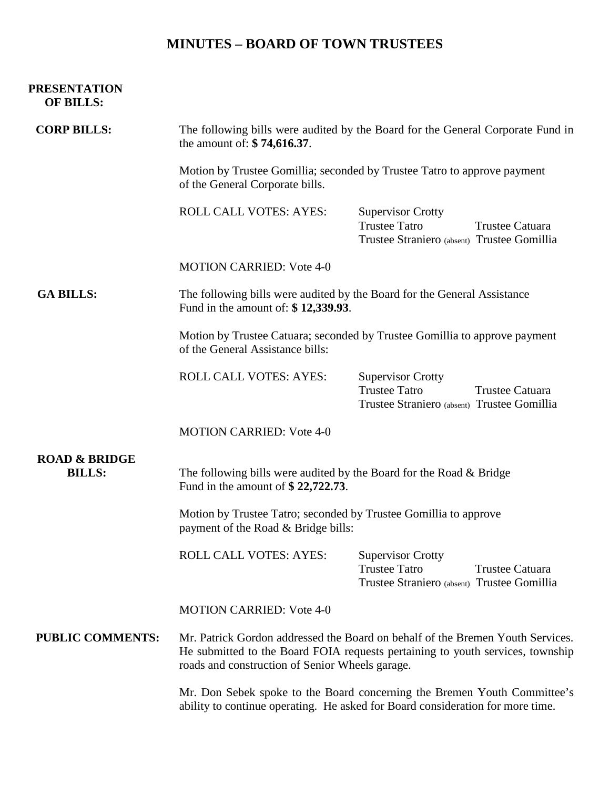# **MINUTES – BOARD OF TOWN TRUSTEES**

#### **PRESENTATION OF BILLS:**

| <b>CORP BILLS:</b>                        | The following bills were audited by the Board for the General Corporate Fund in<br>the amount of: \$74,616.37.<br>Motion by Trustee Gomillia; seconded by Trustee Tatro to approve payment<br>of the General Corporate bills. |                                                                                                                           |  |  |  |
|-------------------------------------------|-------------------------------------------------------------------------------------------------------------------------------------------------------------------------------------------------------------------------------|---------------------------------------------------------------------------------------------------------------------------|--|--|--|
|                                           |                                                                                                                                                                                                                               |                                                                                                                           |  |  |  |
|                                           | <b>ROLL CALL VOTES: AYES:</b>                                                                                                                                                                                                 | <b>Supervisor Crotty</b><br><b>Trustee Tatro</b><br>Trustee Catuara<br>Trustee Straniero (absent) Trustee Gomillia        |  |  |  |
|                                           | <b>MOTION CARRIED: Vote 4-0</b>                                                                                                                                                                                               |                                                                                                                           |  |  |  |
| <b>GA BILLS:</b>                          | The following bills were audited by the Board for the General Assistance<br>Fund in the amount of: \$12,339.93.                                                                                                               |                                                                                                                           |  |  |  |
|                                           | Motion by Trustee Catuara; seconded by Trustee Gomillia to approve payment<br>of the General Assistance bills:                                                                                                                |                                                                                                                           |  |  |  |
|                                           | <b>ROLL CALL VOTES: AYES:</b>                                                                                                                                                                                                 | <b>Supervisor Crotty</b><br><b>Trustee Tatro</b><br>Trustee Catuara<br>Trustee Straniero (absent) Trustee Gomillia        |  |  |  |
|                                           | <b>MOTION CARRIED: Vote 4-0</b>                                                                                                                                                                                               |                                                                                                                           |  |  |  |
| <b>ROAD &amp; BRIDGE</b><br><b>BILLS:</b> | The following bills were audited by the Board for the Road & Bridge<br>Fund in the amount of $$22,722.73$ .                                                                                                                   |                                                                                                                           |  |  |  |
|                                           | Motion by Trustee Tatro; seconded by Trustee Gomillia to approve<br>payment of the Road & Bridge bills:                                                                                                                       |                                                                                                                           |  |  |  |
|                                           | <b>ROLL CALL VOTES: AYES:</b>                                                                                                                                                                                                 | <b>Supervisor Crotty</b><br><b>Trustee Tatro</b><br><b>Trustee Catuara</b><br>Trustee Straniero (absent) Trustee Gomillia |  |  |  |
|                                           | <b>MOTION CARRIED: Vote 4-0</b>                                                                                                                                                                                               |                                                                                                                           |  |  |  |
| <b>PUBLIC COMMENTS:</b>                   | Mr. Patrick Gordon addressed the Board on behalf of the Bremen Youth Services.<br>He submitted to the Board FOIA requests pertaining to youth services, township<br>roads and construction of Senior Wheels garage.           |                                                                                                                           |  |  |  |
|                                           | Mr. Don Sebek spoke to the Board concerning the Bremen Youth Committee's<br>ability to continue operating. He asked for Board consideration for more time.                                                                    |                                                                                                                           |  |  |  |